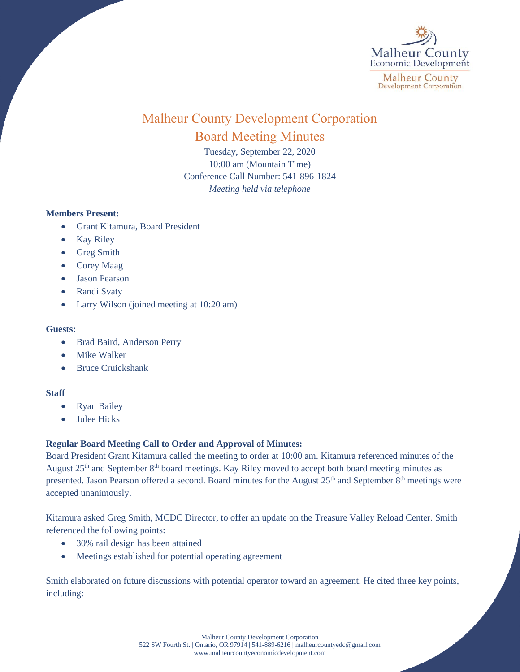

# Malheur County Development Corporation Board Meeting Minutes

Tuesday, September 22, 2020 10:00 am (Mountain Time) Conference Call Number: 541-896-1824 *Meeting held via telephone*

## **Members Present:**

- Grant Kitamura, Board President
- Kay Riley
- Greg Smith
- Corey Maag
- Jason Pearson
- Randi Svaty
- Larry Wilson (joined meeting at 10:20 am)

#### **Guests:**

- Brad Baird, Anderson Perry
- Mike Walker
- Bruce Cruickshank

## **Staff**

- Ryan Bailey
- Julee Hicks

# **Regular Board Meeting Call to Order and Approval of Minutes:**

Board President Grant Kitamura called the meeting to order at 10:00 am. Kitamura referenced minutes of the August 25<sup>th</sup> and September 8<sup>th</sup> board meetings. Kay Riley moved to accept both board meeting minutes as presented. Jason Pearson offered a second. Board minutes for the August 25<sup>th</sup> and September 8<sup>th</sup> meetings were accepted unanimously.

Kitamura asked Greg Smith, MCDC Director, to offer an update on the Treasure Valley Reload Center. Smith referenced the following points:

- 30% rail design has been attained
- Meetings established for potential operating agreement

Smith elaborated on future discussions with potential operator toward an agreement. He cited three key points, including:

> Malheur County Development Corporation 522 SW Fourth St. | Ontario, OR 97914 | 541-889-6216 [| malheurcountyedc@gmail.com](mailto:malheurcountyedc@gmail.com) [www.malheurcountyeconomicdevelopment.com](http://www.malheurcountyeconomicdevelopment.com/)